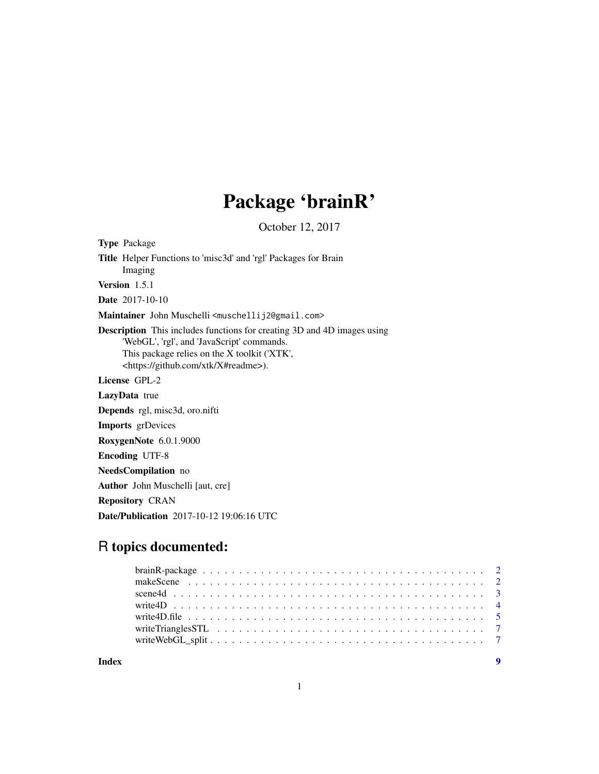## Package 'brainR'

October 12, 2017

<span id="page-0-0"></span>Type Package Title Helper Functions to 'misc3d' and 'rgl' Packages for Brain Imaging Version 1.5.1 Date 2017-10-10 Maintainer John Muschelli <muschellij2@gmail.com> Description This includes functions for creating 3D and 4D images using 'WebGL', 'rgl', and 'JavaScript' commands. This package relies on the X toolkit ('XTK', <https://github.com/xtk/X#readme>). License GPL-2 LazyData true Depends rgl, misc3d, oro.nifti Imports grDevices RoxygenNote 6.0.1.9000 Encoding UTF-8 NeedsCompilation no Author John Muschelli [aut, cre] Repository CRAN Date/Publication 2017-10-12 19:06:16 UTC

### R topics documented:

**Index** [9](#page-8-0)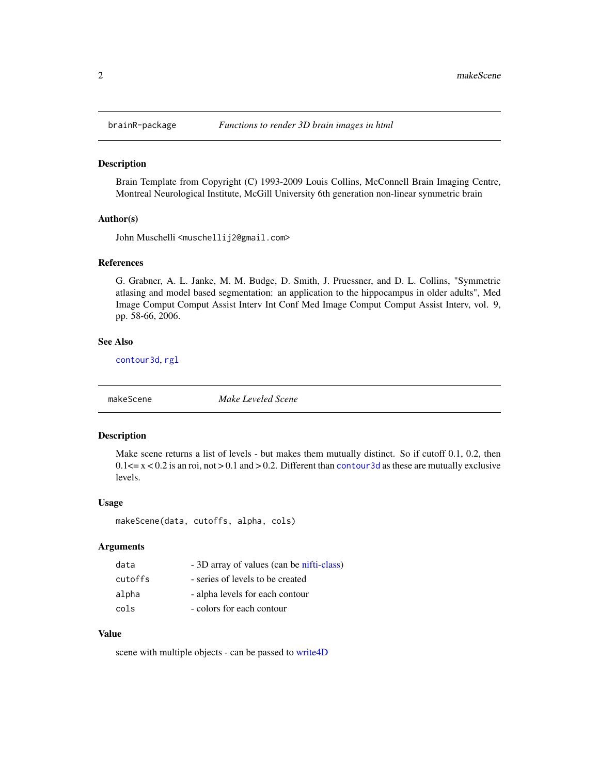<span id="page-1-0"></span>

#### Description

Brain Template from Copyright (C) 1993-2009 Louis Collins, McConnell Brain Imaging Centre, Montreal Neurological Institute, McGill University 6th generation non-linear symmetric brain

#### Author(s)

John Muschelli <muschellij2@gmail.com>

#### References

G. Grabner, A. L. Janke, M. M. Budge, D. Smith, J. Pruessner, and D. L. Collins, "Symmetric atlasing and model based segmentation: an application to the hippocampus in older adults", Med Image Comput Comput Assist Interv Int Conf Med Image Comput Comput Assist Interv, vol. 9, pp. 58-66, 2006.

#### See Also

[contour3d](#page-0-0), [rgl](#page-0-0)

makeScene *Make Leveled Scene*

#### Description

Make scene returns a list of levels - but makes them mutually distinct. So if cutoff 0.1, 0.2, then  $0.1 \le x \le 0.2$  is an roi, not  $> 0.1$  and  $> 0.2$ . Different than contour 3d as these are mutually exclusive levels.

#### Usage

```
makeScene(data, cutoffs, alpha, cols)
```
#### Arguments

| data    | - 3D array of values (can be nifti-class) |
|---------|-------------------------------------------|
| cutoffs | - series of levels to be created          |
| alpha   | - alpha levels for each contour           |
| cols    | - colors for each contour                 |

#### Value

scene with multiple objects - can be passed to [write4D](#page-3-1)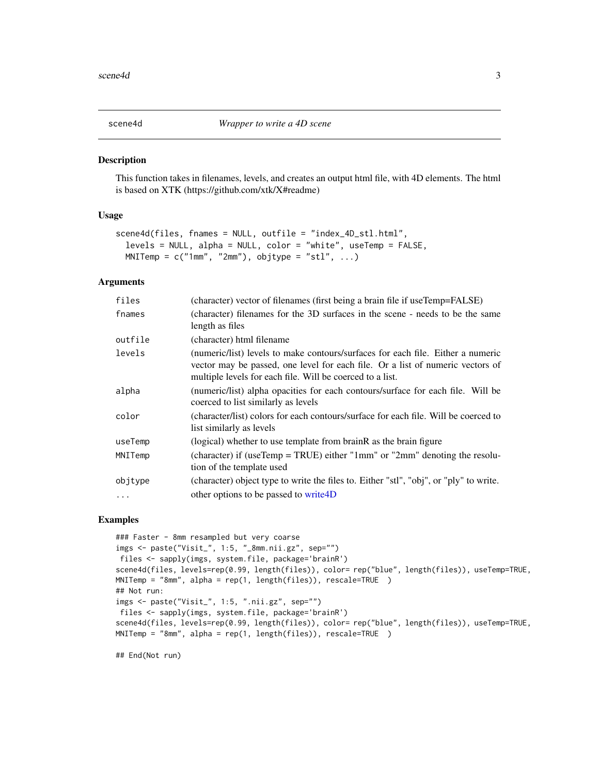<span id="page-2-0"></span>

#### Description

This function takes in filenames, levels, and creates an output html file, with 4D elements. The html is based on XTK (https://github.com/xtk/X#readme)

#### Usage

```
scene4d(files, fnames = NULL, outfile = "index_4D_stl.html",
  levels = NULL, alpha = NULL, color = "white", useTemp = FALSE,
 MNIFemp = c("1mm", "2mm"), objtype = "st1", ...)
```
#### Arguments

| files    | (character) vector of filenames (first being a brain file if useTemp=FALSE)                                                                                                                                                    |
|----------|--------------------------------------------------------------------------------------------------------------------------------------------------------------------------------------------------------------------------------|
| fnames   | (character) filenames for the 3D surfaces in the scene - needs to be the same<br>length as files                                                                                                                               |
| outfile  | (character) html filename                                                                                                                                                                                                      |
| levels   | (numeric/list) levels to make contours/surfaces for each file. Either a numeric<br>vector may be passed, one level for each file. Or a list of numeric vectors of<br>multiple levels for each file. Will be coerced to a list. |
| alpha    | (numeric/list) alpha opacities for each contours/surface for each file. Will be<br>coerced to list similarly as levels                                                                                                         |
| color    | (character/list) colors for each contours/surface for each file. Will be coerced to<br>list similarly as levels                                                                                                                |
| useTemp  | (logical) whether to use template from brain R as the brain figure                                                                                                                                                             |
| MNITemp  | (character) if (useTemp = TRUE) either "1mm" or "2mm" denoting the resolu-<br>tion of the template used                                                                                                                        |
| objtype  | (character) object type to write the files to. Either "stl", "obj", or "ply" to write.                                                                                                                                         |
| $\ddots$ | other options to be passed to write 4D                                                                                                                                                                                         |

#### Examples

```
### Faster - 8mm resampled but very coarse
imgs <- paste("Visit_", 1:5, "_8mm.nii.gz", sep="")
files <- sapply(imgs, system.file, package='brainR')
scene4d(files, levels=rep(0.99, length(files)), color= rep("blue", length(files)), useTemp=TRUE,
MNITemp = "8mm", alpha = rep(1, length(files)), rescale=TRUE )
## Not run:
imgs <- paste("Visit_", 1:5, ".nii.gz", sep="")
files <- sapply(imgs, system.file, package='brainR')
scene4d(files, levels=rep(0.99, length(files)), color= rep("blue", length(files)), useTemp=TRUE,
MNITemp = "8mm", alpha = rep(1, length(files)), rescale=TRUE )
```
## End(Not run)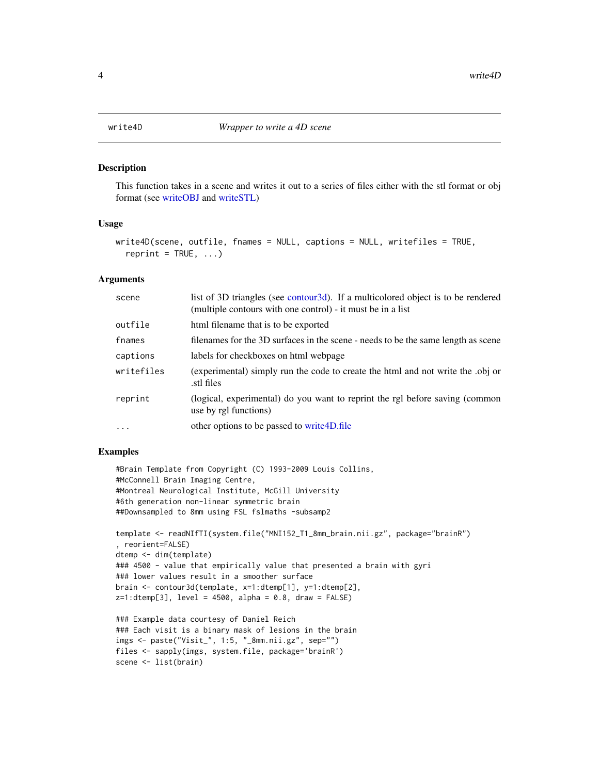#### Description

This function takes in a scene and writes it out to a series of files either with the stl format or obj format (see [writeOBJ](#page-0-0) and [writeSTL\)](#page-0-0)

#### Usage

```
write4D(scene, outfile, fnames = NULL, captions = NULL, writefiles = TRUE,
  reprint = TRUE, ...
```
#### Arguments

| scene      | list of 3D triangles (see contour 3d). If a multicolored object is to be rendered<br>(multiple contours with one control) - it must be in a list |
|------------|--------------------------------------------------------------------------------------------------------------------------------------------------|
| outfile    | html filename that is to be exported                                                                                                             |
| fnames     | filenames for the 3D surfaces in the scene - needs to be the same length as scene                                                                |
| captions   | labels for checkboxes on html webpage                                                                                                            |
| writefiles | (experimental) simply run the code to create the html and not write the .obj or<br>stl files                                                     |
| reprint    | (logical, experimental) do you want to reprint the rgl before saving (common<br>use by rgl functions)                                            |
| $\ddots$   | other options to be passed to write 4D.file                                                                                                      |

#### Examples

```
#Brain Template from Copyright (C) 1993-2009 Louis Collins,
#McConnell Brain Imaging Centre,
#Montreal Neurological Institute, McGill University
#6th generation non-linear symmetric brain
##Downsampled to 8mm using FSL fslmaths -subsamp2
template <- readNIfTI(system.file("MNI152_T1_8mm_brain.nii.gz", package="brainR")
, reorient=FALSE)
```

```
dtemp <- dim(template)
### 4500 - value that empirically value that presented a brain with gyri
### lower values result in a smoother surface
brain <- contour3d(template, x=1:dtemp[1], y=1:dtemp[2],
z=1:dtemp[3], level = 4500, alpha = 0.8, draw = FALSE)
```

```
### Example data courtesy of Daniel Reich
### Each visit is a binary mask of lesions in the brain
imgs <- paste("Visit_", 1:5, "_8mm.nii.gz", sep="")
files <- sapply(imgs, system.file, package='brainR')
scene <- list(brain)
```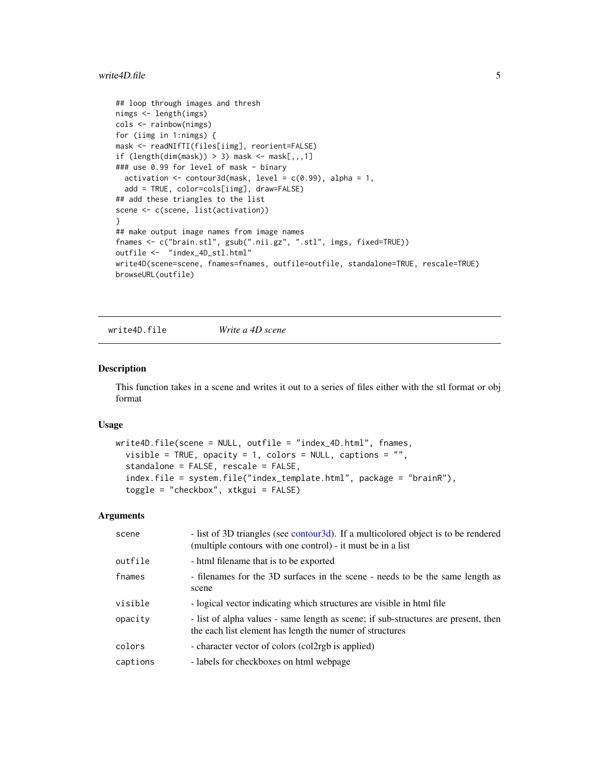#### <span id="page-4-0"></span>write4D.file 5

```
## loop through images and thresh
nimgs <- length(imgs)
cols <- rainbow(nimgs)
for (iimg in 1:nimgs) {
mask <- readNIfTI(files[iimg], reorient=FALSE)
if (length(dim(mask)) > 3) mask <- mask[,,,1]
### use 0.99 for level of mask - binary
  activation \leq contour3d(mask, level = c(0.99), alpha = 1,
  add = TRUE, color=cols[iimg], draw=FALSE)
## add these triangles to the list
scene <- c(scene, list(activation))
}
## make output image names from image names
fnames <- c("brain.stl", gsub(".nii.gz", ".stl", imgs, fixed=TRUE))
outfile <- "index_4D_stl.html"
write4D(scene=scene, fnames=fnames, outfile=outfile, standalone=TRUE, rescale=TRUE)
browseURL(outfile)
```
<span id="page-4-1"></span>write4D.file *Write a 4D scene*

#### Description

This function takes in a scene and writes it out to a series of files either with the stl format or obj format

#### Usage

```
write4D.file(scene = NULL, outfile = "index_4D.html", fnames,
  visible = TRUE, opacity = 1, colors = NULL, captions = ",
  standalone = FALSE, rescale = FALSE,
  index.file = system.file("index_template.html", package = "brainR"),
  toggle = "checkbox", xtkgui = FALSE)
```
#### Arguments

| scene    | - list of 3D triangles (see contour3d). If a multicolored object is to be rendered<br>(multiple contours with one control) - it must be in a list |
|----------|---------------------------------------------------------------------------------------------------------------------------------------------------|
| outfile  | - html filename that is to be exported                                                                                                            |
| fnames   | - filenames for the 3D surfaces in the scene - needs to be the same length as<br>scene                                                            |
| visible  | - logical vector indicating which structures are visible in html file                                                                             |
| opacity  | - list of alpha values - same length as scene; if sub-structures are present, then<br>the each list element has length the numer of structures    |
| colors   | - character vector of colors (colorgeless applied)                                                                                                |
| captions | - labels for checkboxes on html webpage                                                                                                           |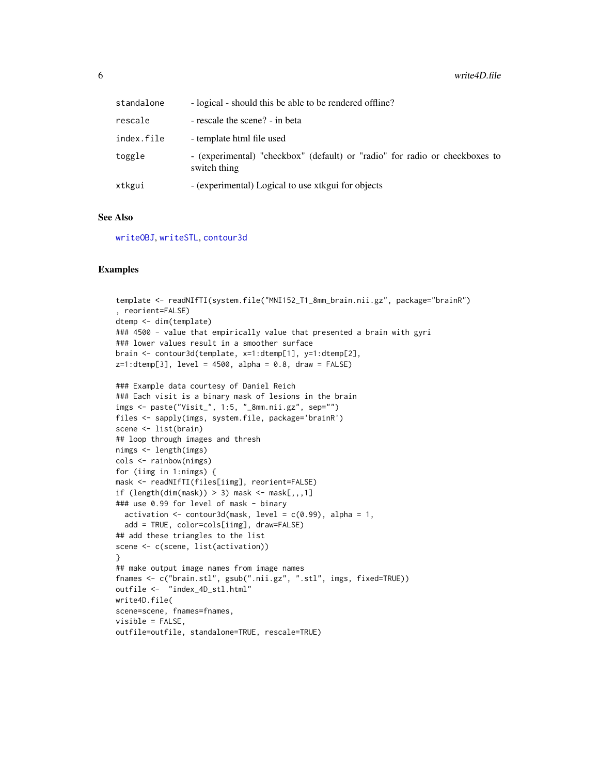<span id="page-5-0"></span>

| standalone | - logical - should this be able to be rendered offline?                                     |
|------------|---------------------------------------------------------------------------------------------|
| rescale    | - rescale the scene? - in beta                                                              |
| index.file | - template html file used                                                                   |
| toggle     | - (experimental) "checkbox" (default) or "radio" for radio or checkboxes to<br>switch thing |
| xtkgui     | - (experimental) Logical to use xtkgui for objects                                          |

#### See Also

[writeOBJ](#page-0-0), [writeSTL](#page-0-0), [contour3d](#page-0-0)

#### Examples

```
template <- readNIfTI(system.file("MNI152_T1_8mm_brain.nii.gz", package="brainR")
, reorient=FALSE)
dtemp <- dim(template)
### 4500 - value that empirically value that presented a brain with gyri
### lower values result in a smoother surface
brain <- contour3d(template, x=1:dtemp[1], y=1:dtemp[2],
z=1:dtemp[3], level = 4500, alpha = 0.8, draw = FALSE)
### Example data courtesy of Daniel Reich
### Each visit is a binary mask of lesions in the brain
imgs <- paste("Visit_", 1:5, "_8mm.nii.gz", sep="")
files <- sapply(imgs, system.file, package='brainR')
scene <- list(brain)
## loop through images and thresh
nimgs <- length(imgs)
cols <- rainbow(nimgs)
for (iimg in 1:nimgs) {
mask <- readNIfTI(files[iimg], reorient=FALSE)
if (length(dim(maxk)) > 3) mask <- mask[,,,1]
### use 0.99 for level of mask - binary
  activation \leq contour3d(mask, level = c(0.99), alpha = 1,
  add = TRUE, color=cols[iimg], draw=FALSE)
## add these triangles to the list
scene <- c(scene, list(activation))
}
## make output image names from image names
fnames <- c("brain.stl", gsub(".nii.gz", ".stl", imgs, fixed=TRUE))
outfile <- "index_4D_stl.html"
write4D.file(
scene=scene, fnames=fnames,
visible = FALSE,
outfile=outfile, standalone=TRUE, rescale=TRUE)
```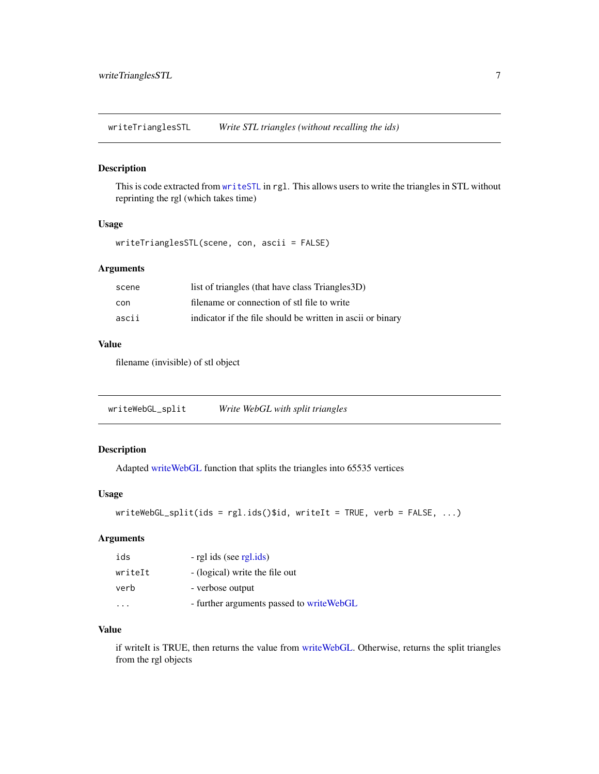<span id="page-6-0"></span>writeTrianglesSTL *Write STL triangles (without recalling the ids)*

#### Description

This is code extracted from [writeSTL](#page-0-0) in rgl. This allows users to write the triangles in STL without reprinting the rgl (which takes time)

#### Usage

writeTrianglesSTL(scene, con, ascii = FALSE)

#### Arguments

| scene | list of triangles (that have class Triangles 3D)           |
|-------|------------------------------------------------------------|
| con   | filename or connection of stl file to write                |
| ascii | indicator if the file should be written in ascii or binary |

#### Value

filename (invisible) of stl object

| writeWebGL_split | Write WebGL with split triangles |  |  |  |  |
|------------------|----------------------------------|--|--|--|--|
|------------------|----------------------------------|--|--|--|--|

#### Description

Adapted [writeWebGL](#page-0-0) function that splits the triangles into 65535 vertices

#### Usage

```
writeWebGL_split(ids = rgl.ids()$id, writeIt = TRUE, verb = FALSE, ...)
```
#### Arguments

| ids     | - rgl ids (see rgl.ids)                   |
|---------|-------------------------------------------|
| writeIt | - (logical) write the file out            |
| verb    | - verbose output                          |
|         | - further arguments passed to write WebGL |

#### Value

if writeIt is TRUE, then returns the value from [writeWebGL.](#page-0-0) Otherwise, returns the split triangles from the rgl objects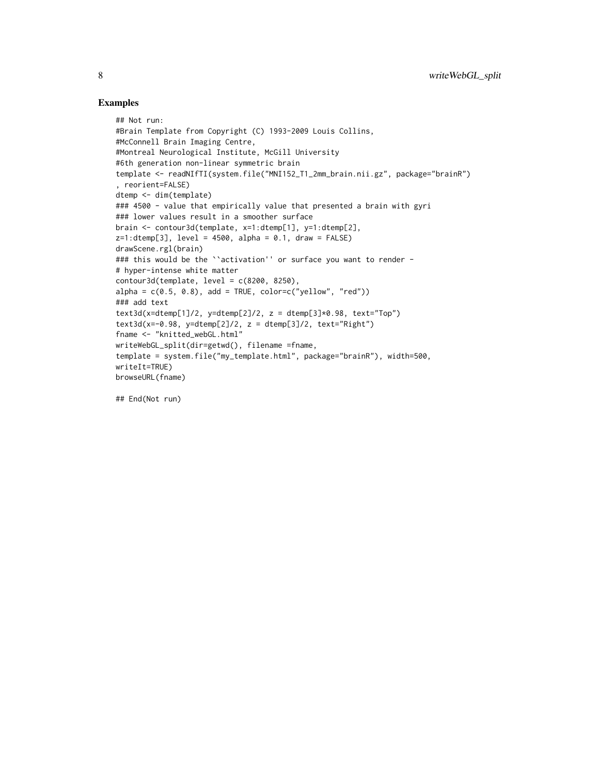#### Examples

```
## Not run:
#Brain Template from Copyright (C) 1993-2009 Louis Collins,
#McConnell Brain Imaging Centre,
#Montreal Neurological Institute, McGill University
#6th generation non-linear symmetric brain
template <- readNIfTI(system.file("MNI152_T1_2mm_brain.nii.gz", package="brainR")
, reorient=FALSE)
dtemp <- dim(template)
### 4500 - value that empirically value that presented a brain with gyri
### lower values result in a smoother surface
brain <- contour3d(template, x=1:dtemp[1], y=1:dtemp[2],
z=1:dtemp[3], level = 4500, alpha = 0.1, draw = FALSE)
drawScene.rgl(brain)
### this would be the ``activation'' or surface you want to render -
# hyper-intense white matter
contour3d(template, level = c(8200, 8250),alpha = c(0.5, 0.8), add = TRUE, color=c("yellow", "red"))### add text
text3d(x=dtemp[1]/2, y=dtemp[2]/2, z = dtemp[3]*0.98, text="Top")text3d(x=-0.98, y=dtemp[2]/2, z = dtemp[3]/2, text="Right")
fname <- "knitted_webGL.html"
writeWebGL_split(dir=getwd(), filename =fname,
template = system.file("my_template.html", package="brainR"), width=500,
writeIt=TRUE)
browseURL(fname)
```
## End(Not run)